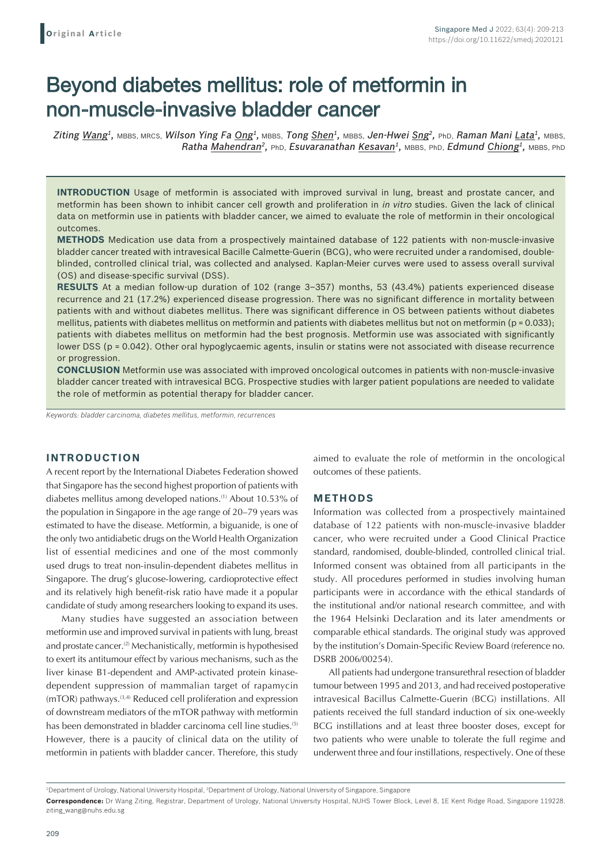# Beyond diabetes mellitus: role of metformin in non-muscle-invasive bladder cancer

*Ziting Wang1,* MBBS, MRCS, *Wilson Ying Fa Ong1,* MBBS, *Tong Shen1,* MBBS, *Jen-Hwei Sng2,* PhD, *Raman Mani Lata1,* MBBS, *Ratha Mahendran<sup>2</sup>, PhD, Esuvaranathan Kesavan<sup>1</sup>, MBBS, PhD, Edmund Chiong<sup>1</sup>, MBBS, PhD* 

**INTRODUCTION** Usage of metformin is associated with improved survival in lung, breast and prostate cancer, and metformin has been shown to inhibit cancer cell growth and proliferation in *in vitro* studies. Given the lack of clinical data on metformin use in patients with bladder cancer, we aimed to evaluate the role of metformin in their oncological outcomes.

**METHODS** Medication use data from a prospectively maintained database of 122 patients with non-muscle-invasive bladder cancer treated with intravesical Bacille Calmette-Guerin (BCG), who were recruited under a randomised, doubleblinded, controlled clinical trial, was collected and analysed. Kaplan-Meier curves were used to assess overall survival (OS) and disease-specific survival (DSS).

**RESULTS** At a median follow-up duration of 102 (range 3–357) months, 53 (43.4%) patients experienced disease recurrence and 21 (17.2%) experienced disease progression. There was no significant difference in mortality between patients with and without diabetes mellitus. There was significant difference in OS between patients without diabetes mellitus, patients with diabetes mellitus on metformin and patients with diabetes mellitus but not on metformin ( $p = 0.033$ ); patients with diabetes mellitus on metformin had the best prognosis. Metformin use was associated with significantly lower DSS (p = 0.042). Other oral hypoglycaemic agents, insulin or statins were not associated with disease recurrence or progression.

**CONCLUSION** Metformin use was associated with improved oncological outcomes in patients with non-muscle-invasive bladder cancer treated with intravesical BCG. Prospective studies with larger patient populations are needed to validate the role of metformin as potential therapy for bladder cancer.

*Keywords: bladder carcinoma, diabetes mellitus, metformin, recurrences*

## **INTRODUCTION**

A recent report by the International Diabetes Federation showed that Singapore has the second highest proportion of patients with diabetes mellitus among developed nations.<sup>(1)</sup> About 10.53% of the population in Singapore in the age range of 20–79 years was estimated to have the disease. Metformin, a biguanide, is one of the only two antidiabetic drugs on the World Health Organization list of essential medicines and one of the most commonly used drugs to treat non-insulin-dependent diabetes mellitus in Singapore. The drug's glucose-lowering, cardioprotective effect and its relatively high benefit-risk ratio have made it a popular candidate of study among researchers looking to expand its uses.

Many studies have suggested an association between metformin use and improved survival in patients with lung, breast and prostate cancer.<sup>(2)</sup> Mechanistically, metformin is hypothesised to exert its antitumour effect by various mechanisms, such as the liver kinase B1-dependent and AMP-activated protein kinasedependent suppression of mammalian target of rapamycin (mTOR) pathways.(3,4) Reduced cell proliferation and expression of downstream mediators of the mTOR pathway with metformin has been demonstrated in bladder carcinoma cell line studies.<sup>(5)</sup> However, there is a paucity of clinical data on the utility of metformin in patients with bladder cancer. Therefore, this study aimed to evaluate the role of metformin in the oncological outcomes of these patients.

## **METHODS**

Information was collected from a prospectively maintained database of 122 patients with non-muscle-invasive bladder cancer, who were recruited under a Good Clinical Practice standard, randomised, double-blinded, controlled clinical trial. Informed consent was obtained from all participants in the study. All procedures performed in studies involving human participants were in accordance with the ethical standards of the institutional and/or national research committee, and with the 1964 Helsinki Declaration and its later amendments or comparable ethical standards. The original study was approved by the institution's Domain-Specific Review Board (reference no. DSRB 2006/00254).

All patients had undergone transurethral resection of bladder tumour between 1995 and 2013, and had received postoperative intravesical Bacillus Calmette-Guerin (BCG) instillations. All patients received the full standard induction of six one-weekly BCG instillations and at least three booster doses, except for two patients who were unable to tolerate the full regime and underwent three and four instillations, respectively. One of these

<sup>&</sup>lt;sup>1</sup>Department of Urology, National University Hospital, <sup>2</sup>Department of Urology, National University of Singapore, Singapore

**Correspondence:** Dr Wang Ziting, Registrar, Department of Urology, National University Hospital, NUHS Tower Block, Level 8, 1E Kent Ridge Road, Singapore 119228. ziting\_wang@nuhs.edu.sg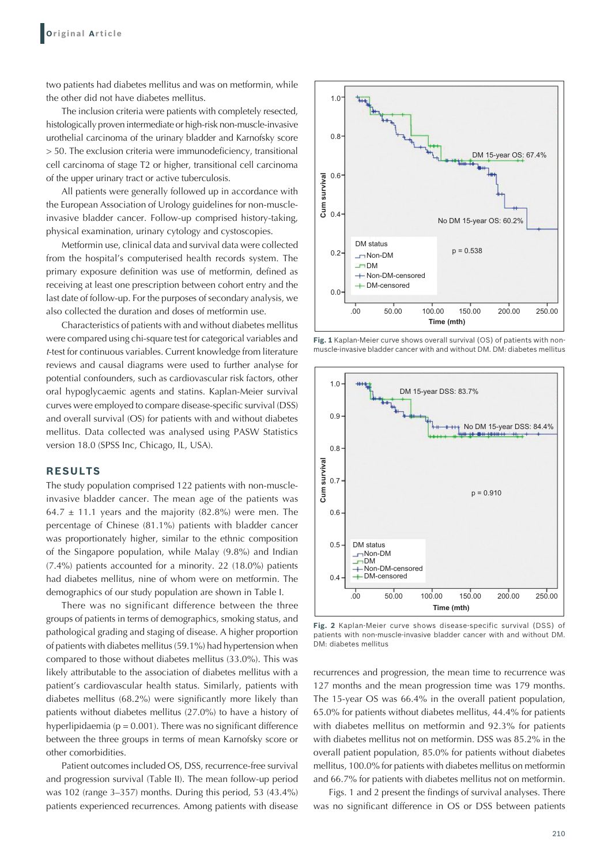two patients had diabetes mellitus and was on metformin, while the other did not have diabetes mellitus.

The inclusion criteria were patients with completely resected, histologically proven intermediate or high-risk non-muscle-invasive urothelial carcinoma of the urinary bladder and Karnofsky score > 50. The exclusion criteria were immunodeficiency, transitional cell carcinoma of stage T2 or higher, transitional cell carcinoma of the upper urinary tract or active tuberculosis.

All patients were generally followed up in accordance with the European Association of Urology guidelines for non-muscleinvasive bladder cancer. Follow-up comprised history-taking, physical examination, urinary cytology and cystoscopies.

Metformin use, clinical data and survival data were collected from the hospital's computerised health records system. The primary exposure definition was use of metformin, defined as receiving at least one prescription between cohort entry and the last date of follow-up. For the purposes of secondary analysis, we also collected the duration and doses of metformin use.

Characteristics of patients with and without diabetes mellitus were compared using chi-square test for categorical variables and <sup>t</sup>-test for continuous variables. Current knowledge from literature reviews and causal diagrams were used to further analyse for potential confounders, such as cardiovascular risk factors, other oral hypoglycaemic agents and statins. Kaplan-Meier survival curves were employed to compare disease-specific survival (DSS) and overall survival (OS) for patients with and without diabetes mellitus. Data collected was analysed using PASW Statistics version 18.0 (SPSS Inc, Chicago, IL, USA).

### **RESULTS**

The study population comprised 122 patients with non-muscleinvasive bladder cancer. The mean age of the patients was 64.7  $\pm$  11.1 years and the majority (82.8%) were men. The percentage of Chinese (81.1%) patients with bladder cancer was proportionately higher, similar to the ethnic composition of the Singapore population, while Malay (9.8%) and Indian (7.4%) patients accounted for a minority. 22 (18.0%) patients had diabetes mellitus, nine of whom were on metformin. The demographics of our study population are shown in Table I.

There was no significant difference between the three groups of patients in terms of demographics, smoking status, and pathological grading and staging of disease. A higher proportion of patients with diabetes mellitus (59.1%) had hypertension when compared to those without diabetes mellitus (33.0%). This was likely attributable to the association of diabetes mellitus with a patient's cardiovascular health status. Similarly, patients with diabetes mellitus (68.2%) were significantly more likely than patients without diabetes mellitus (27.0%) to have a history of hyperlipidaemia ( $p = 0.001$ ). There was no significant difference between the three groups in terms of mean Karnofsky score or other comorbidities.

Patient outcomes included OS, DSS, recurrence-free survival and progression survival (Table II). The mean follow-up period was 102 (range 3–357) months. During this period, 53 (43.4%) patients experienced recurrences. Among patients with disease



**Fig. 1** Kaplan-Meier curve shows overall survival (OS) of patients with nonmuscle-invasive bladder cancer with and without DM. DM: diabetes mellitus



**Fig. 2** Kaplan-Meier curve shows disease-specific survival (DSS) of patients with non-muscle-invasive bladder cancer with and without DM. DM: diabetes mellitus

recurrences and progression, the mean time to recurrence was 127 months and the mean progression time was 179 months. The 15-year OS was 66.4% in the overall patient population, 65.0% for patients without diabetes mellitus, 44.4% for patients with diabetes mellitus on metformin and 92.3% for patients with diabetes mellitus not on metformin. DSS was 85.2% in the overall patient population, 85.0% for patients without diabetes mellitus, 100.0% for patients with diabetes mellitus on metformin and 66.7% for patients with diabetes mellitus not on metformin.

Figs. 1 and 2 present the findings of survival analyses. There was no significant difference in OS or DSS between patients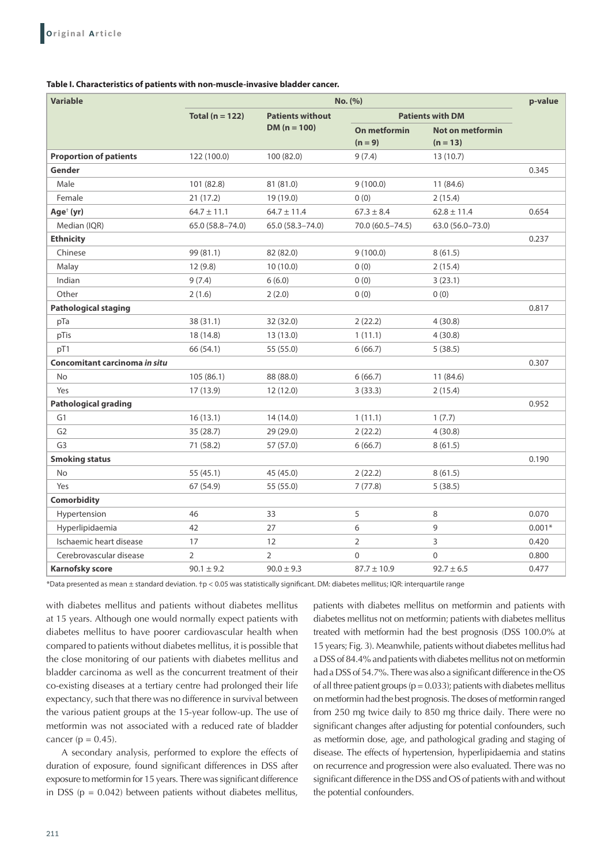#### **Table I. Characteristics of patients with non‑muscle‑invasive bladder cancer.**

| <b>Variable</b>               | No. (%)             |                                           |                         |                  | p-value  |
|-------------------------------|---------------------|-------------------------------------------|-------------------------|------------------|----------|
|                               | Total ( $n = 122$ ) | <b>Patients without</b><br>$DM (n = 100)$ | <b>Patients with DM</b> |                  |          |
|                               |                     |                                           | On metformin            | Not on metformin |          |
|                               |                     |                                           | $(n = 9)$               | $(n = 13)$       |          |
| <b>Proportion of patients</b> | 122 (100.0)         | 100 (82.0)                                | 9(7.4)                  | 13 (10.7)        |          |
| Gender                        |                     |                                           |                         |                  | 0.345    |
| Male                          | 101 (82.8)          | 81 (81.0)                                 | 9(100.0)                | 11(84.6)         |          |
| Female                        | 21(17.2)            | 19 (19.0)                                 | 0(0)                    | 2(15.4)          |          |
| Age <sup>†</sup> (yr)         | $64.7 \pm 11.1$     | $64.7 \pm 11.4$                           | $67.3 \pm 8.4$          | $62.8 \pm 11.4$  | 0.654    |
| Median (IQR)                  | 65.0 (58.8-74.0)    | 65.0 (58.3 - 74.0)                        | 70.0 (60.5-74.5)        | 63.0 (56.0-73.0) |          |
| <b>Ethnicity</b>              |                     |                                           |                         |                  | 0.237    |
| Chinese                       | 99 (81.1)           | 82 (82.0)                                 | 9(100.0)                | 8(61.5)          |          |
| Malay                         | 12(9.8)             | 10(10.0)                                  | 0(0)                    | 2(15.4)          |          |
| Indian                        | 9(7.4)              | 6(6.0)                                    | 0(0)                    | 3(23.1)          |          |
| Other                         | 2(1.6)              | 2(2.0)                                    | 0(0)                    | 0(0)             |          |
| <b>Pathological staging</b>   |                     |                                           |                         |                  | 0.817    |
| pTa                           | 38 (31.1)           | 32 (32.0)                                 | 2(22.2)                 | 4(30.8)          |          |
| pTis                          | 18 (14.8)           | 13 (13.0)                                 | 1(11.1)                 | 4(30.8)          |          |
| pT1                           | 66 (54.1)           | 55 (55.0)                                 | 6(66.7)                 | 5(38.5)          |          |
| Concomitant carcinoma in situ |                     |                                           |                         |                  | 0.307    |
| <b>No</b>                     | 105 (86.1)          | 88 (88.0)                                 | 6(66.7)                 | 11(84.6)         |          |
| Yes                           | 17(13.9)            | 12 (12.0)                                 | 3(33.3)                 | 2(15.4)          |          |
| <b>Pathological grading</b>   |                     |                                           |                         |                  | 0.952    |
| G1                            | 16(13.1)            | 14(14.0)                                  | 1(11.1)                 | 1(7.7)           |          |
| G <sub>2</sub>                | 35 (28.7)           | 29 (29.0)                                 | 2(22.2)                 | 4(30.8)          |          |
| G <sub>3</sub>                | 71 (58.2)           | 57 (57.0)                                 | 6(66.7)                 | 8(61.5)          |          |
| <b>Smoking status</b>         |                     |                                           |                         |                  | 0.190    |
| <b>No</b>                     | 55 (45.1)           | 45 (45.0)                                 | 2(22.2)                 | 8(61.5)          |          |
| Yes                           | 67 (54.9)           | 55 (55.0)                                 | 7(77.8)                 | 5(38.5)          |          |
| <b>Comorbidity</b>            |                     |                                           |                         |                  |          |
| Hypertension                  | 46                  | 33                                        | 5                       | 8                | 0.070    |
| Hyperlipidaemia               | 42                  | 27                                        | 6                       | 9                | $0.001*$ |
| Ischaemic heart disease       | 17                  | 12                                        | $\overline{2}$          | 3                | 0.420    |
| Cerebrovascular disease       | $\overline{2}$      | $\overline{2}$                            | $\Omega$                | $\mathbf 0$      | 0.800    |
| <b>Karnofsky score</b>        | $90.1 \pm 9.2$      | $90.0 \pm 9.3$                            | $87.7 \pm 10.9$         | $92.7 \pm 6.5$   | 0.477    |

\*Data presented as mean ± standard deviation. †p < 0.05 was statistically significant. DM: diabetes mellitus; IQR: interquartile range

with diabetes mellitus and patients without diabetes mellitus at 15 years. Although one would normally expect patients with diabetes mellitus to have poorer cardiovascular health when compared to patients without diabetes mellitus, it is possible that the close monitoring of our patients with diabetes mellitus and bladder carcinoma as well as the concurrent treatment of their co-existing diseases at a tertiary centre had prolonged their life expectancy, such that there was no difference in survival between the various patient groups at the 15-year follow-up. The use of metformin was not associated with a reduced rate of bladder cancer ( $p = 0.45$ ).

A secondary analysis, performed to explore the effects of duration of exposure, found significant differences in DSS after exposure to metformin for 15 years. There was significant difference in DSS ( $p = 0.042$ ) between patients without diabetes mellitus,

patients with diabetes mellitus on metformin and patients with diabetes mellitus not on metformin; patients with diabetes mellitus treated with metformin had the best prognosis (DSS 100.0% at 15 years; Fig. 3). Meanwhile, patients without diabetes mellitus had a DSS of 84.4% and patients with diabetes mellitus not on metformin had a DSS of 54.7%. There was also a significant difference in the OS of all three patient groups ( $p = 0.033$ ); patients with diabetes mellitus on metformin had the best prognosis. The doses of metformin ranged from 250 mg twice daily to 850 mg thrice daily. There were no significant changes after adjusting for potential confounders, such as metformin dose, age, and pathological grading and staging of disease. The effects of hypertension, hyperlipidaemia and statins on recurrence and progression were also evaluated. There was no significant difference in the DSS and OS of patients with and without the potential confounders.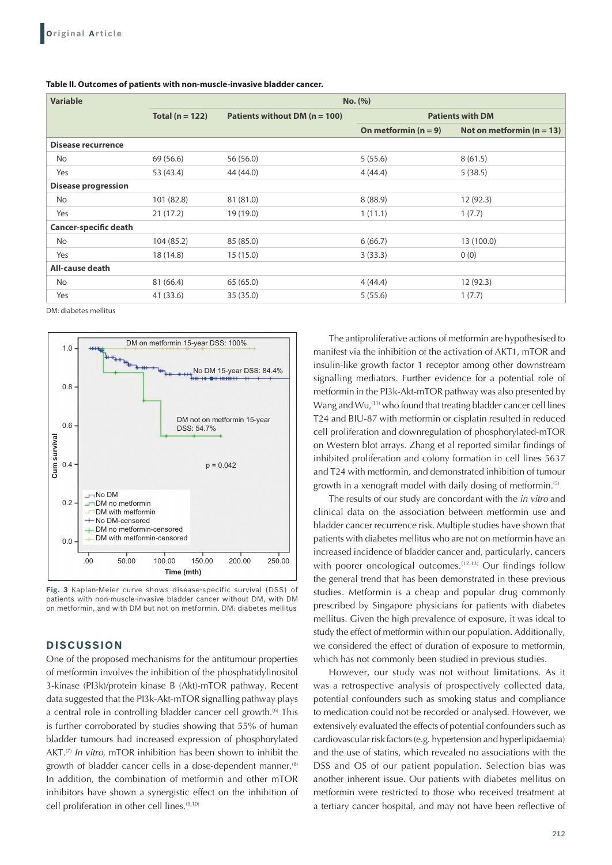| <b>Variable</b>              | No. (%)             |                                   |                         |                             |  |  |
|------------------------------|---------------------|-----------------------------------|-------------------------|-----------------------------|--|--|
|                              | Total ( $n = 122$ ) | Patients without DM ( $n = 100$ ) | <b>Patients with DM</b> |                             |  |  |
|                              |                     |                                   | On metformin $(n = 9)$  | Not on metformin $(n = 13)$ |  |  |
| <b>Disease recurrence</b>    |                     |                                   |                         |                             |  |  |
| No.                          | 69 (56.6)           | 56 (56.0)                         | 5(55.6)                 | 8(61.5)                     |  |  |
| Yes                          | 53 (43.4)           | 44 (44.0)                         | 4(44.4)                 | 5(38.5)                     |  |  |
| <b>Disease progression</b>   |                     |                                   |                         |                             |  |  |
| <b>No</b>                    | 101 (82.8)          | 81 (81.0)                         | 8(88.9)                 | 12(92.3)                    |  |  |
| Yes                          | 21(17.2)            | 19 (19.0)                         | 1(11.1)                 | 1(7.7)                      |  |  |
| <b>Cancer-specific death</b> |                     |                                   |                         |                             |  |  |
| <b>No</b>                    | 104 (85.2)          | 85 (85.0)                         | 6(66.7)                 | 13 (100.0)                  |  |  |
| Yes                          | 18 (14.8)           | 15(15.0)                          | 3(33.3)                 | 0(0)                        |  |  |
| All-cause death              |                     |                                   |                         |                             |  |  |
| No                           | 81 (66.4)           | 65(65.0)                          | 4(44.4)                 | 12(92.3)                    |  |  |
| Yes                          | 41 (33.6)           | 35 (35.0)                         | 5(55.6)                 | 1(7.7)                      |  |  |

#### **Table II. Outcomes of patients with non‑muscle‑invasive bladder cancer.**

DM: diabetes mellitus



**Fig. 3** Kaplan-Meier curve shows disease-specific survival (DSS) of patients with non-muscle-invasive bladder cancer without DM, with DM on metformin, and with DM but not on metformin. DM: diabetes mellitus

## **DISCUSSION**

One of the proposed mechanisms for the antitumour properties of metformin involves the inhibition of the phosphatidylinositol 3-kinase (PI3k)/protein kinase B (Akt)-mTOR pathway. Recent data suggested that the PI3k-Akt-mTOR signalling pathway plays a central role in controlling bladder cancer cell growth.<sup>(6)</sup> This is further corroborated by studies showing that 55% of human bladder tumours had increased expression of phosphorylated AKT. $(7)$  In vitro, mTOR inhibition has been shown to inhibit the growth of bladder cancer cells in a dose-dependent manner.<sup>(8)</sup> In addition, the combination of metformin and other mTOR inhibitors have shown a synergistic effect on the inhibition of cell proliferation in other cell lines.<sup>(9,10)</sup>

The antiproliferative actions of metformin are hypothesised to manifest via the inhibition of the activation of AKT1, mTOR and insulin-like growth factor 1 receptor among other downstream signalling mediators. Further evidence for a potential role of metformin in the PI3k-Akt-mTOR pathway was also presented by Wang and Wu,<sup>(11)</sup> who found that treating bladder cancer cell lines T24 and BIU-87 with metformin or cisplatin resulted in reduced cell proliferation and downregulation of phosphorylated-mTOR on Western blot arrays. Zhang et al reported similar findings of inhibited proliferation and colony formation in cell lines 5637 and T24 with metformin, and demonstrated inhibition of tumour growth in a xenograft model with daily dosing of metformin.<sup>(5)</sup>

The results of our study are concordant with the in vitro and clinical data on the association between metformin use and bladder cancer recurrence risk. Multiple studies have shown that patients with diabetes mellitus who are not on metformin have an increased incidence of bladder cancer and, particularly, cancers with poorer oncological outcomes.<sup>(12,13)</sup> Our findings follow the general trend that has been demonstrated in these previous studies. Metformin is a cheap and popular drug commonly prescribed by Singapore physicians for patients with diabetes mellitus. Given the high prevalence of exposure, it was ideal to study the effect of metformin within our population. Additionally, we considered the effect of duration of exposure to metformin, which has not commonly been studied in previous studies.

However, our study was not without limitations. As it was a retrospective analysis of prospectively collected data, potential confounders such as smoking status and compliance to medication could not be recorded or analysed. However, we extensively evaluated the effects of potential confounders such as cardiovascular risk factors (e.g. hypertension and hyperlipidaemia) and the use of statins, which revealed no associations with the DSS and OS of our patient population. Selection bias was another inherent issue. Our patients with diabetes mellitus on metformin were restricted to those who received treatment at a tertiary cancer hospital, and may not have been reflective of